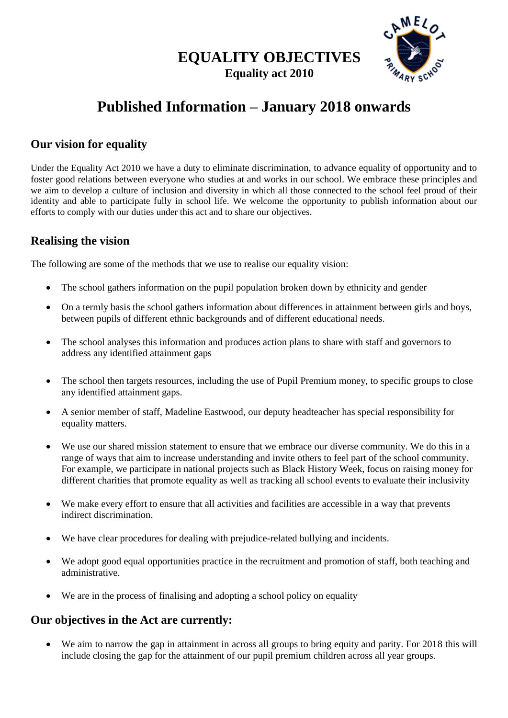**EQUALITY OBJECTIVES Equality act 2010**



## **Published Information – January 2018 onwards**

## **Our vision for equality**

Under the Equality Act 2010 we have a duty to eliminate discrimination, to advance equality of opportunity and to foster good relations between everyone who studies at and works in our school. We embrace these principles and we aim to develop a culture of inclusion and diversity in which all those connected to the school feel proud of their identity and able to participate fully in school life. We welcome the opportunity to publish information about our efforts to comply with our duties under this act and to share our objectives.

## **Realising the vision**

The following are some of the methods that we use to realise our equality vision:

- The school gathers information on the pupil population broken down by ethnicity and gender
- On a termly basis the school gathers information about differences in attainment between girls and boys, between pupils of different ethnic backgrounds and of different educational needs.
- The school analyses this information and produces action plans to share with staff and governors to address any identified attainment gaps
- The school then targets resources, including the use of Pupil Premium money, to specific groups to close any identified attainment gaps.
- A senior member of staff, Madeline Eastwood, our deputy headteacher has special responsibility for equality matters.
- We use our shared mission statement to ensure that we embrace our diverse community. We do this in a range of ways that aim to increase understanding and invite others to feel part of the school community. For example, we participate in national projects such as Black History Week, focus on raising money for different charities that promote equality as well as tracking all school events to evaluate their inclusivity
- We make every effort to ensure that all activities and facilities are accessible in a way that prevents indirect discrimination.
- We have clear procedures for dealing with prejudice-related bullying and incidents.
- We adopt good equal opportunities practice in the recruitment and promotion of staff, both teaching and administrative.
- We are in the process of finalising and adopting a school policy on equality

## **Our objectives in the Act are currently:**

• We aim to narrow the gap in attainment in across all groups to bring equity and parity. For 2018 this will include closing the gap for the attainment of our pupil premium children across all year groups.